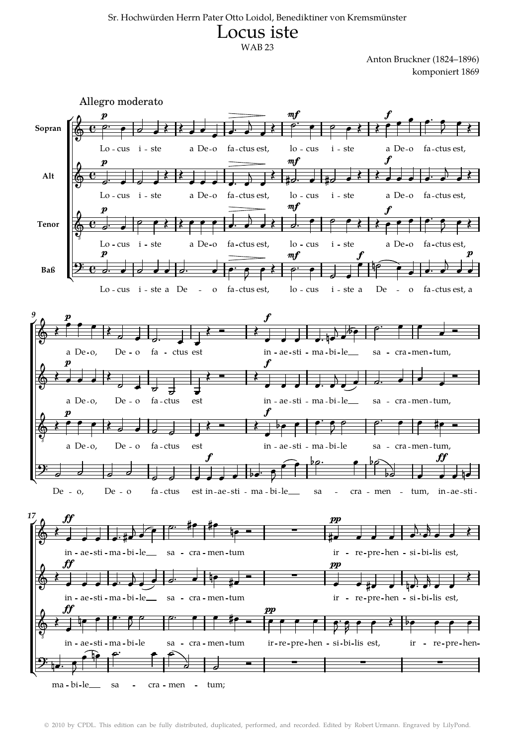## Sr. Hochwürden Herrn Pater Otto Loidol, Benediktiner von Kremsmünster Locus iste WAB 23

Anton Bruckner (1824–1896) komponiert 1869